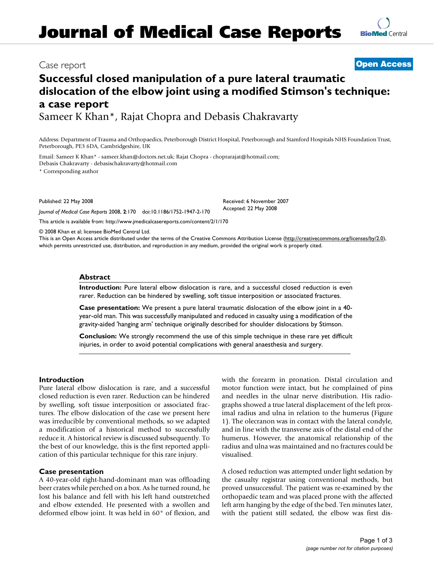# **Journal of Medical Case Reports**

### Case report **[Open Access](http://www.biomedcentral.com/info/about/charter/)**

## **Successful closed manipulation of a pure lateral traumatic dislocation of the elbow joint using a modified Stimson's technique: a case report**

Sameer K Khan\*, Rajat Chopra and Debasis Chakravarty

Address: Department of Trauma and Orthopaedics, Peterborough District Hospital, Peterborough and Stamford Hospitals NHS Foundation Trust, Peterborough, PE3 6DA, Cambridgeshire, UK

Email: Sameer K Khan\* - sameer.khan@doctors.net.uk; Rajat Chopra - choprarajat@hotmail.com; Debasis Chakravarty - debasischakravarty@hotmail.com

\* Corresponding author

Published: 22 May 2008

*Journal of Medical Case Reports* 2008, **2**:170 doi:10.1186/1752-1947-2-170

[This article is available from: http://www.jmedicalcasereports.com/content/2/1/170](http://www.jmedicalcasereports.com/content/2/1/170)

© 2008 Khan et al; licensee BioMed Central Ltd.

This is an Open Access article distributed under the terms of the Creative Commons Attribution License [\(http://creativecommons.org/licenses/by/2.0\)](http://creativecommons.org/licenses/by/2.0), which permits unrestricted use, distribution, and reproduction in any medium, provided the original work is properly cited.

#### **Abstract**

**Introduction:** Pure lateral elbow dislocation is rare, and a successful closed reduction is even rarer. Reduction can be hindered by swelling, soft tissue interposition or associated fractures.

**Case presentation:** We present a pure lateral traumatic dislocation of the elbow joint in a 40 year-old man. This was successfully manipulated and reduced in casualty using a modification of the gravity-aided 'hanging arm' technique originally described for shoulder dislocations by Stimson.

**Conclusion:** We strongly recommend the use of this simple technique in these rare yet difficult injuries, in order to avoid potential complications with general anaesthesia and surgery.

#### **Introduction**

Pure lateral elbow dislocation is rare, and a successful closed reduction is even rarer. Reduction can be hindered by swelling, soft tissue interposition or associated fractures. The elbow dislocation of the case we present here was irreducible by conventional methods, so we adapted a modification of a historical method to successfully reduce it. A historical review is discussed subsequently. To the best of our knowledge, this is the first reported application of this particular technique for this rare injury.

#### **Case presentation**

A 40-year-old right-hand-dominant man was offloading beer crates while perched on a box. As he turned round, he lost his balance and fell with his left hand outstretched and elbow extended. He presented with a swollen and deformed elbow joint. It was held in 60° of flexion, and with the forearm in pronation. Distal circulation and motor function were intact, but he complained of pins and needles in the ulnar nerve distribution. His radiographs showed a true lateral displacement of the left proximal radius and ulna in relation to the humerus (Figure 1). The olecranon was in contact with the lateral condyle, and in line with the transverse axis of the distal end of the humerus. However, the anatomical relationship of the radius and ulna was maintained and no fractures could be visualised.

A closed reduction was attempted under light sedation by the casualty registrar using conventional methods, but proved unsuccessful. The patient was re-examined by the orthopaedic team and was placed prone with the affected left arm hanging by the edge of the bed. Ten minutes later, with the patient still sedated, the elbow was first dis-



Received: 6 November 2007 Accepted: 22 May 2008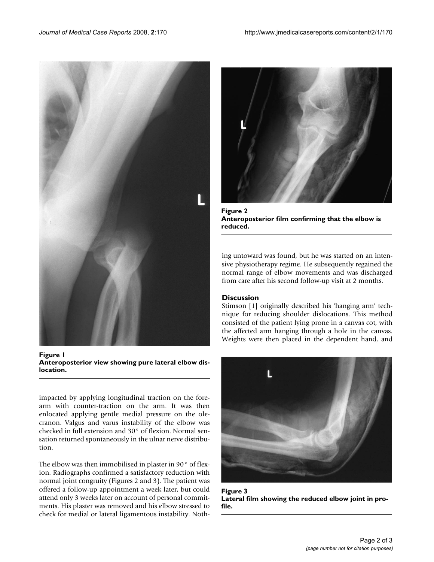

**Figure 1 Anteroposterior view showing pure lateral elbow dislocation.**

impacted by applying longitudinal traction on the forearm with counter-traction on the arm. It was then enlocated applying gentle medial pressure on the olecranon. Valgus and varus instability of the elbow was checked in full extension and 30° of flexion. Normal sensation returned spontaneously in the ulnar nerve distribution.

The elbow was then immobilised in plaster in 90° of flexion. Radiographs confirmed a satisfactory reduction with normal joint congruity (Figures 2 and 3). The patient was offered a follow-up appointment a week later, but could attend only 3 weeks later on account of personal commitments. His plaster was removed and his elbow stressed to check for medial or lateral ligamentous instability. Noth-



Figure 2 **Anteroposterior film confirming that the elbow is reduced.**

ing untoward was found, but he was started on an intensive physiotherapy regime. He subsequently regained the normal range of elbow movements and was discharged from care after his second follow-up visit at 2 months.

#### **Discussion**

Stimson [1] originally described his 'hanging arm' technique for reducing shoulder dislocations. This method consisted of the patient lying prone in a canvas cot, with the affected arm hanging through a hole in the canvas. Weights were then placed in the dependent hand, and



**Figure 3 Lateral film showing the reduced elbow joint in profile.**